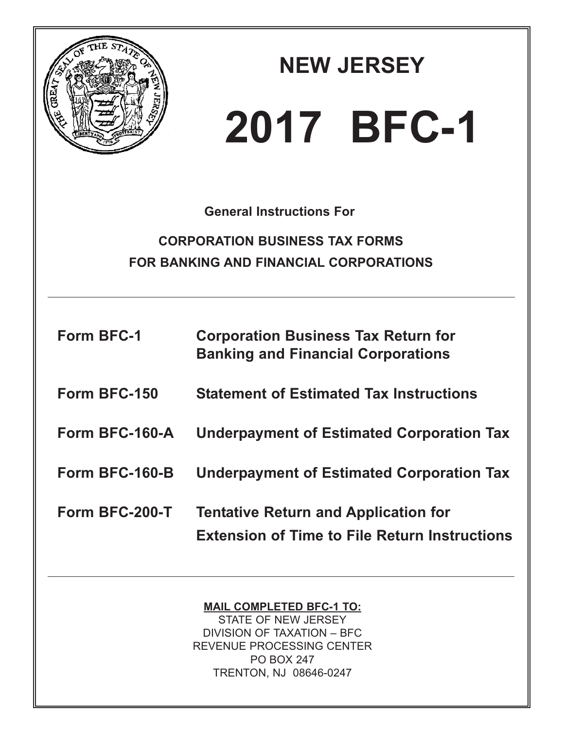

# **2017 BFC-1 NEW JERSEY**

# **General Instructions For**

# **CORPORATION BUSINESS TAX FORMS FOR BANKING AND FINANCIAL CORPORATIONS**

- **Form BFC-1 Corporation Business Tax Return for Banking and Financial Corporations**
- **Form BFC-150 Statement of Estimated Tax Instructions**
- **Form BFC-160-A Underpayment of Estimated Corporation Tax**
- **Form BFC-160-B Underpayment of Estimated Corporation Tax**
- **Form BFC-200-T Tentative Return and Application for Extension of Time to File Return Instructions**

## **MAIL COMPLETED BFC-1 TO:**

STATE OF NEW JERSEY DIVISION OF TAXATION – BFC REVENUE PROCESSING CENTER PO BOX 247 TRENTON, NJ 08646-0247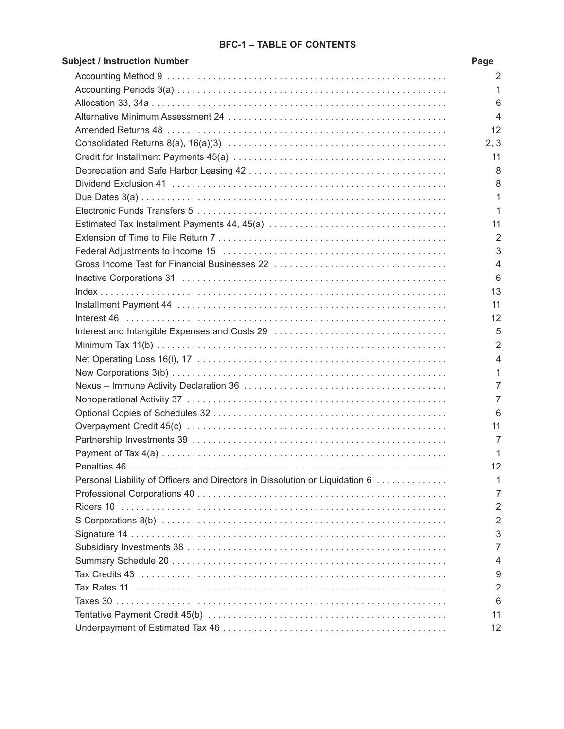#### **BFC-1 – TABLE OF CONTENTS**

| <b>Subject / Instruction Number</b>                                          | Page            |
|------------------------------------------------------------------------------|-----------------|
|                                                                              | $\overline{2}$  |
|                                                                              | 1               |
|                                                                              | 6               |
|                                                                              | $\overline{4}$  |
|                                                                              | 12              |
|                                                                              | 2, 3            |
|                                                                              | 11              |
|                                                                              | 8               |
|                                                                              | 8               |
|                                                                              | 1               |
|                                                                              | $\mathbf{1}$    |
| Estimated Tax Installment Payments 44, 45(a)                                 | 11              |
|                                                                              | $\overline{2}$  |
|                                                                              | 3               |
|                                                                              | $\overline{4}$  |
|                                                                              | $6\phantom{1}6$ |
|                                                                              | 13              |
|                                                                              | 11              |
|                                                                              | 12              |
|                                                                              | 5               |
|                                                                              | $\overline{2}$  |
|                                                                              | 4               |
|                                                                              | 1               |
|                                                                              | $\overline{7}$  |
|                                                                              | $\overline{7}$  |
|                                                                              | 6               |
|                                                                              | 11              |
|                                                                              | $\overline{7}$  |
|                                                                              | 1               |
|                                                                              | 12              |
| Personal Liability of Officers and Directors in Dissolution or Liquidation 6 | 1               |
|                                                                              | $\overline{7}$  |
|                                                                              | $\overline{2}$  |
|                                                                              | 2               |
|                                                                              | 3               |
|                                                                              | 7               |
|                                                                              | 4               |
|                                                                              | 9               |
|                                                                              | 2               |
|                                                                              | 6               |
|                                                                              | 11              |
|                                                                              | 12              |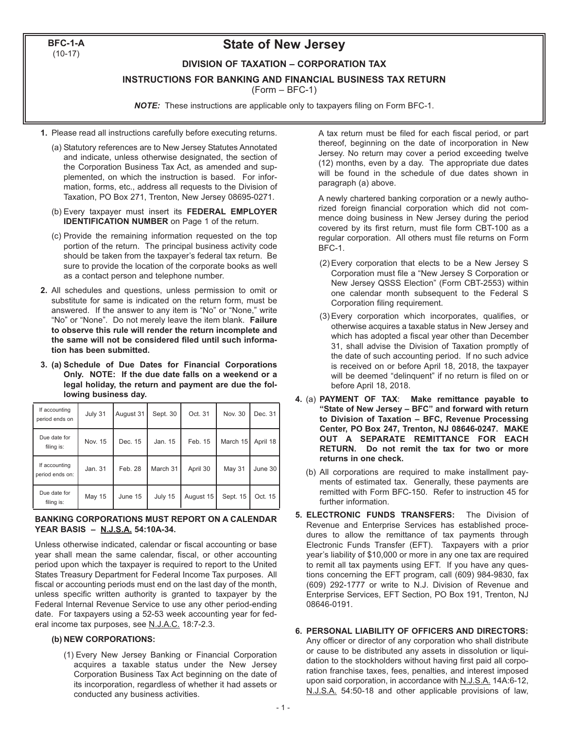**BFC-1-A** (10-17)

### **State of New Jersey**

#### **DIVISION OF TAXATION – CORPORATION TAX**

**INSTRUCTIONS FOR BANKING AND FINANCIAL BUSINESS TAX RETURN**

(Form – BFC-1)

*NOTE:* These instructions are applicable only to taxpayers filing on Form BFC-1.

- **1.** Please read all instructions carefully before executing returns.
	- (a) Statutory references are to New Jersey Statutes Annotated and indicate, unless otherwise designated, the section of the Corporation Business Tax Act, as amended and supplemented, on which the instruction is based. For information, forms, etc., address all requests to the Division of Taxation, PO Box 271, Trenton, New Jersey 08695-0271.
	- (b) Every taxpayer must insert its **FEDERAL EMPLOYER IDENTIFICATION NUMBER** on Page 1 of the return.
	- (c) Provide the remaining information requested on the top portion of the return. The principal business activity code should be taken from the taxpayer's federal tax return. Be sure to provide the location of the corporate books as well as a contact person and telephone number.
- **2.** All schedules and questions, unless permission to omit or substitute for same is indicated on the return form, must be answered. If the answer to any item is "No" or "None," write "No" or "None". Do not merely leave the item blank. **Failure to observe this rule will render the return incomplete and the same will not be considered filed until such information has been submitted.**
- **3. (a) Schedule of Due Dates for Financial Corporations Only. NOTE: If the due date falls on a weekend or a legal holiday, the return and payment are due the following business day.**

| If accounting<br>period ends on  | July 31 | August 31 | Sept. 30 | Oct. 31   | Nov. 30  | Dec. 31  |
|----------------------------------|---------|-----------|----------|-----------|----------|----------|
| Due date for<br>filing is:       | Nov. 15 | Dec. 15   | Jan. 15  | Feb. 15   | March 15 | April 18 |
| If accounting<br>period ends on: | Jan. 31 | Feb. 28   | March 31 | April 30  | May 31   | June 30  |
| Due date for<br>filing is:       | May 15  | June 15   | July 15  | August 15 | Sept. 15 | Oct. 15  |

#### **BANKING CORPORATIONS MUST REPORT ON A CALENDAR YEAR BASIS – N.J.S.A. 54:10A-34.**

Unless otherwise indicated, calendar or fiscal accounting or base year shall mean the same calendar, fiscal, or other accounting period upon which the taxpayer is required to report to the United States Treasury Department for Federal Income Tax purposes. All fiscal or accounting periods must end on the last day of the month, unless specific written authority is granted to taxpayer by the Federal Internal Revenue Service to use any other period-ending date. For taxpayers using a 52-53 week accounting year for federal income tax purposes, see N.J.A.C. 18:7-2.3.

#### **(b) NEW CORPORATIONS:**

(1) Every New Jersey Banking or Financial Corporation acquires a taxable status under the New Jersey Corporation Business Tax Act beginning on the date of its incorporation, regardless of whether it had assets or conducted any business activities.

A tax return must be filed for each fiscal period, or part thereof, beginning on the date of incorporation in New Jersey. No return may cover a period exceeding twelve (12) months, even by a day. The appropriate due dates will be found in the schedule of due dates shown in paragraph (a) above.

A newly chartered banking corporation or a newly authorized foreign financial corporation which did not commence doing business in New Jersey during the period covered by its first return, must file form CBT-100 as a regular corporation. All others must file returns on Form BFC-1.

- (2) Every corporation that elects to be a New Jersey S Corporation must file a "New Jersey S Corporation or New Jersey QSSS Election" (Form CBT-2553) within one calendar month subsequent to the Federal S Corporation filing requirement.
- (3) Every corporation which incorporates, qualifies, or otherwise acquires a taxable status in New Jersey and which has adopted a fiscal year other than December 31, shall advise the Division of Taxation promptly of the date of such accounting period. If no such advice is received on or before April 18, 2018, the taxpayer will be deemed "delinquent" if no return is filed on or before April 18, 2018.
- **4.** (a) **PAYMENT OF TAX**: **Make remittance payable to "State of New Jersey – BFC" and forward with return to Division of Taxation – BFC, Revenue Processing Center, PO Box 247, Trenton, NJ 08646-0247. MAKE OUT A SEPARATE REMITTANCE FOR EACH RETURN. Do not remit the tax for two or more returns in one check.**
	- (b) All corporations are required to make installment payments of estimated tax. Generally, these payments are remitted with Form BFC-150. Refer to instruction 45 for further information.
- **5. ELECTRONIC FUNDS TRANSFERS:** The Division of Revenue and Enterprise Services has established procedures to allow the remittance of tax payments through Electronic Funds Transfer (EFT). Taxpayers with a prior year's liability of \$10,000 or more in any one tax are required to remit all tax payments using EFT. If you have any questions concerning the EFT program, call (609) 984-9830, fax (609) 292-1777 or write to N.J. Division of Revenue and Enterprise Services, EFT Section, PO Box 191, Trenton, NJ 08646-0191.

#### **6. PERSONAL LIABILITY OF OFFICERS AND DIRECTORS:**

Any officer or director of any corporation who shall distribute or cause to be distributed any assets in dissolution or liquidation to the stockholders without having first paid all corporation franchise taxes, fees, penalties, and interest imposed upon said corporation, in accordance with N.J.S.A. 14A:6-12, N.J.S.A. 54:50-18 and other applicable provisions of law,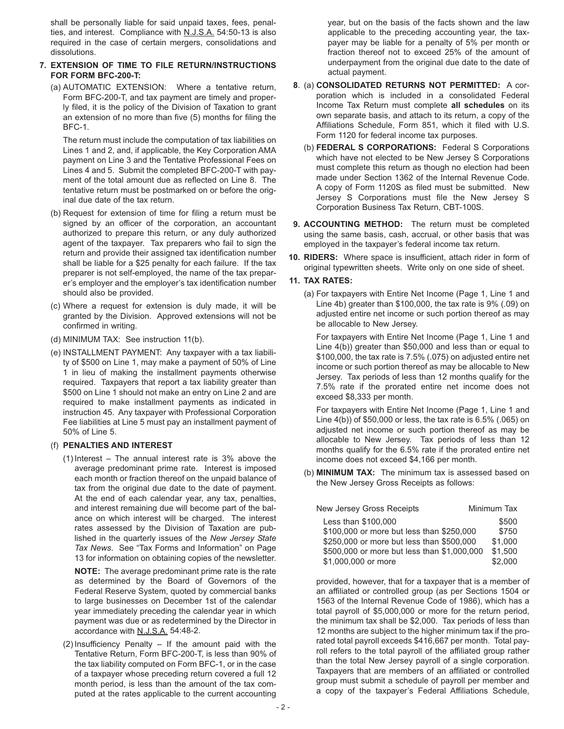shall be personally liable for said unpaid taxes, fees, penalties, and interest. Compliance with N.J.S.A. 54:50-13 is also required in the case of certain mergers, consolidations and dissolutions.

#### **7. EXTENSION OF TIME TO FILE RETURN/INSTRUCTIONS FOR FORM BFC-200-T:**

(a) AUTOMATIC EXTENSION: Where a tentative return, Form BFC-200-T, and tax payment are timely and properly filed, it is the policy of the Division of Taxation to grant an extension of no more than five (5) months for filing the BFC-1.

The return must include the computation of tax liabilities on Lines 1 and 2, and, if applicable, the Key Corporation AMA payment on Line 3 and the Tentative Professional Fees on Lines 4 and 5. Submit the completed BFC-200-T with payment of the total amount due as reflected on Line 8. The tentative return must be postmarked on or before the original due date of the tax return.

- (b) Request for extension of time for filing a return must be signed by an officer of the corporation, an accountant authorized to prepare this return, or any duly authorized agent of the taxpayer. Tax preparers who fail to sign the return and provide their assigned tax identification number shall be liable for a \$25 penalty for each failure. If the tax preparer is not self-employed, the name of the tax preparer's employer and the employer's tax identification number should also be provided.
- (c) Where a request for extension is duly made, it will be granted by the Division. Approved extensions will not be confirmed in writing.
- (d) MINIMUM TAX: See instruction 11(b).
- (e) INSTALLMENT PAYMENT: Any taxpayer with a tax liability of \$500 on Line 1, may make a payment of 50% of Line 1 in lieu of making the installment payments otherwise required. Taxpayers that report a tax liability greater than \$500 on Line 1 should not make an entry on Line 2 and are required to make installment payments as indicated in instruction 45. Any taxpayer with Professional Corporation Fee liabilities at Line 5 must pay an installment payment of 50% of Line 5.

#### (f) **PENALTIES AND INTEREST**

(1) Interest – The annual interest rate is 3% above the average predominant prime rate. Interest is imposed each month or fraction thereof on the unpaid balance of tax from the original due date to the date of payment. At the end of each calendar year, any tax, penalties, and interest remaining due will become part of the balance on which interest will be charged. The interest rates assessed by the Division of Taxation are published in the quarterly issues of the *New Jersey State Tax News*. See "Tax Forms and Information" on Page 13 for information on obtaining copies of the newsletter.

**NOTE:** The average predominant prime rate is the rate as determined by the Board of Governors of the Federal Reserve System, quoted by commercial banks to large businesses on December 1st of the calendar year immediately preceding the calendar year in which payment was due or as redetermined by the Director in accordance with N.J.S.A. 54:48-2.

(2) Insufficiency Penalty – If the amount paid with the Tentative Return, Form BFC-200-T, is less than 90% of the tax liability computed on Form BFC-1, or in the case of a taxpayer whose preceding return covered a full 12 month period, is less than the amount of the tax computed at the rates applicable to the current accounting

year, but on the basis of the facts shown and the law applicable to the preceding accounting year, the taxpayer may be liable for a penalty of 5% per month or fraction thereof not to exceed 25% of the amount of underpayment from the original due date to the date of actual payment.

- **8**. (a) **CONSOLIDATED RETURNS NOT PERMITTED:** A corporation which is included in a consolidated Federal Income Tax Return must complete **all schedules** on its own separate basis, and attach to its return, a copy of the Affiliations Schedule, Form 851, which it filed with U.S. Form 1120 for federal income tax purposes.
	- (b) **FEDERAL S CORPORATIONS:** Federal S Corporations which have not elected to be New Jersey S Corporations must complete this return as though no election had been made under Section 1362 of the Internal Revenue Code. A copy of Form 1120S as filed must be submitted. New Jersey S Corporations must file the New Jersey S Corporation Business Tax Return, CBT-100S.
- **9. ACCOUNTING METHOD:** The return must be completed using the same basis, cash, accrual, or other basis that was employed in the taxpayer's federal income tax return.
- **10. RIDERS:** Where space is insufficient, attach rider in form of original typewritten sheets. Write only on one side of sheet.

#### **11. TAX RATES:**

(a) For taxpayers with Entire Net Income (Page 1, Line 1 and Line 4b) greater than \$100,000, the tax rate is 9% (.09) on adjusted entire net income or such portion thereof as may be allocable to New Jersey.

For taxpayers with Entire Net Income (Page 1, Line 1 and Line 4(b)) greater than \$50,000 and less than or equal to \$100,000, the tax rate is 7.5% (.075) on adjusted entire net income or such portion thereof as may be allocable to New Jersey. Tax periods of less than 12 months qualify for the 7.5% rate if the prorated entire net income does not exceed \$8,333 per month.

For taxpayers with Entire Net Income (Page 1, Line 1 and Line 4(b)) of \$50,000 or less, the tax rate is 6.5% (.065) on adjusted net income or such portion thereof as may be allocable to New Jersey. Tax periods of less than 12 months qualify for the 6.5% rate if the prorated entire net income does not exceed \$4,166 per month.

(b) **MINIMUM TAX:** The minimum tax is assessed based on the New Jersey Gross Receipts as follows:

| New Jersey Gross Receipts                   | Minimum Tax |
|---------------------------------------------|-------------|
| Less than \$100,000                         | \$500       |
| \$100,000 or more but less than \$250,000   | \$750       |
| \$250,000 or more but less than \$500,000   | \$1,000     |
| \$500,000 or more but less than \$1,000,000 | \$1,500     |
| \$1,000,000 or more                         | \$2,000     |

provided, however, that for a taxpayer that is a member of an affiliated or controlled group (as per Sections 1504 or 1563 of the Internal Revenue Code of 1986), which has a total payroll of \$5,000,000 or more for the return period, the minimum tax shall be \$2,000. Tax periods of less than 12 months are subject to the higher minimum tax if the prorated total payroll exceeds \$416,667 per month. Total payroll refers to the total payroll of the affiliated group rather than the total New Jersey payroll of a single corporation. Taxpayers that are members of an affiliated or controlled group must submit a schedule of payroll per member and a copy of the taxpayer's Federal Affiliations Schedule,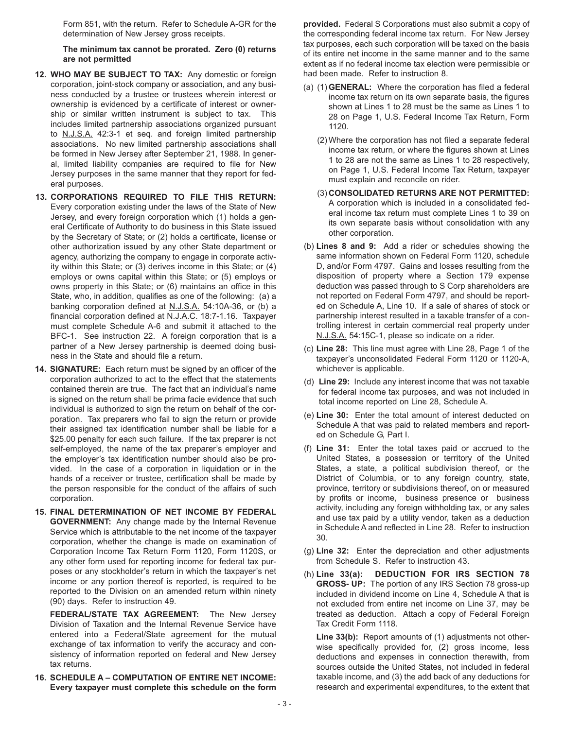Form 851, with the return. Refer to Schedule A-GR for the determination of New Jersey gross receipts.

**The minimum tax cannot be prorated. Zero (0) returns are not permitted**

- **12. WHO MAY BE SUBJECT TO TAX:** Any domestic or foreign corporation, joint-stock company or association, and any business conducted by a trustee or trustees wherein interest or ownership is evidenced by a certificate of interest or ownership or similar written instrument is subject to tax. This includes limited partnership associations organized pursuant to N.J.S.A. 42:3-1 et seq. and foreign limited partnership associations. No new limited partnership associations shall be formed in New Jersey after September 21, 1988. In general, limited liability companies are required to file for New Jersey purposes in the same manner that they report for federal purposes.
- **13. CORPORATIONS REQUIRED TO FILE THIS RETURN:** Every corporation existing under the laws of the State of New Jersey, and every foreign corporation which (1) holds a general Certificate of Authority to do business in this State issued by the Secretary of State; or (2) holds a certificate, license or other authorization issued by any other State department or agency, authorizing the company to engage in corporate activity within this State; or (3) derives income in this State; or (4) employs or owns capital within this State; or (5) employs or owns property in this State; or (6) maintains an office in this State, who, in addition, qualifies as one of the following: (a) a banking corporation defined at N.J.S.A. 54:10A-36, or (b) a financial corporation defined at N.J.A.C. 18:7-1.16. Taxpayer must complete Schedule A-6 and submit it attached to the BFC-1. See instruction 22. A foreign corporation that is a partner of a New Jersey partnership is deemed doing business in the State and should file a return.
- **14. SIGNATURE:** Each return must be signed by an officer of the corporation authorized to act to the effect that the statements contained therein are true. The fact that an individual's name is signed on the return shall be prima facie evidence that such individual is authorized to sign the return on behalf of the corporation. Tax preparers who fail to sign the return or provide their assigned tax identification number shall be liable for a \$25.00 penalty for each such failure. If the tax preparer is not self-employed, the name of the tax preparer's employer and the employer's tax identification number should also be provided. In the case of a corporation in liquidation or in the hands of a receiver or trustee, certification shall be made by the person responsible for the conduct of the affairs of such corporation.
- **15. FINAL DETERMINATION OF NET INCOME BY FEDERAL GOVERNMENT:** Any change made by the Internal Revenue Service which is attributable to the net income of the taxpayer corporation, whether the change is made on examination of Corporation Income Tax Return Form 1120, Form 1120S, or any other form used for reporting income for federal tax purposes or any stockholder's return in which the taxpayer's net income or any portion thereof is reported, is required to be reported to the Division on an amended return within ninety (90) days. Refer to instruction 49.

**FEDERAL/STATE TAX AGREEMENT:** The New Jersey Division of Taxation and the Internal Revenue Service have entered into a Federal/State agreement for the mutual exchange of tax information to verify the accuracy and consistency of information reported on federal and New Jersey tax returns.

**16. SCHEDULE A – COMPUTATION OF ENTIRE NET INCOME: Every taxpayer must complete this schedule on the form**

**provided.** Federal S Corporations must also submit a copy of the corresponding federal income tax return. For New Jersey tax purposes, each such corporation will be taxed on the basis of its entire net income in the same manner and to the same extent as if no federal income tax election were permissible or had been made. Refer to instruction 8.

- (a) (1) **GENERAL:** Where the corporation has filed a federal income tax return on its own separate basis, the figures shown at Lines 1 to 28 must be the same as Lines 1 to 28 on Page 1, U.S. Federal Income Tax Return, Form 1120.
	- (2) Where the corporation has not filed a separate federal income tax return, or where the figures shown at Lines 1 to 28 are not the same as Lines 1 to 28 respectively, on Page 1, U.S. Federal Income Tax Return, taxpayer must explain and reconcile on rider.
	- (3) **CONSOLIDATED RETURNS ARE NOT PERMITTED:** A corporation which is included in a consolidated federal income tax return must complete Lines 1 to 39 on its own separate basis without consolidation with any other corporation.
- (b) **Lines 8 and 9:** Add a rider or schedules showing the same information shown on Federal Form 1120, schedule D, and/or Form 4797. Gains and losses resulting from the disposition of property where a Section 179 expense deduction was passed through to S Corp shareholders are not reported on Federal Form 4797, and should be reported on Schedule A, Line 10. If a sale of shares of stock or partnership interest resulted in a taxable transfer of a controlling interest in certain commercial real property under N.J.S.A. 54:15C-1, please so indicate on a rider.
- (c) **Line 28:** This line must agree with Line 28, Page 1 of the taxpayer's unconsolidated Federal Form 1120 or 1120-A, whichever is applicable.
- (d) **Line 29:** Include any interest income that was not taxable for federal income tax purposes, and was not included in total income reported on Line 28, Schedule A.
- (e) **Line 30:** Enter the total amount of interest deducted on Schedule A that was paid to related members and reported on Schedule G, Part I.
- (f) **Line 31:** Enter the total taxes paid or accrued to the United States, a possession or territory of the United States, a state, a political subdivision thereof, or the District of Columbia, or to any foreign country, state, province, territory or subdivisions thereof, on or measured by profits or income, business presence or business activity, including any foreign withholding tax, or any sales and use tax paid by a utility vendor, taken as a deduction in Schedule A and reflected in Line 28. Refer to instruction 30.
- (g) **Line 32:** Enter the depreciation and other adjustments from Schedule S. Refer to instruction 43.
- (h) **Line 33(a): DEDUCTION FOR IRS SECTION 78 GROSS- UP:** The portion of any IRS Section 78 gross-up included in dividend income on Line 4, Schedule A that is not excluded from entire net income on Line 37, may be treated as deduction. Attach a copy of Federal Foreign Tax Credit Form 1118.

**Line 33(b):** Report amounts of (1) adjustments not otherwise specifically provided for, (2) gross income, less deductions and expenses in connection therewith, from sources outside the United States, not included in federal taxable income, and (3) the add back of any deductions for research and experimental expenditures, to the extent that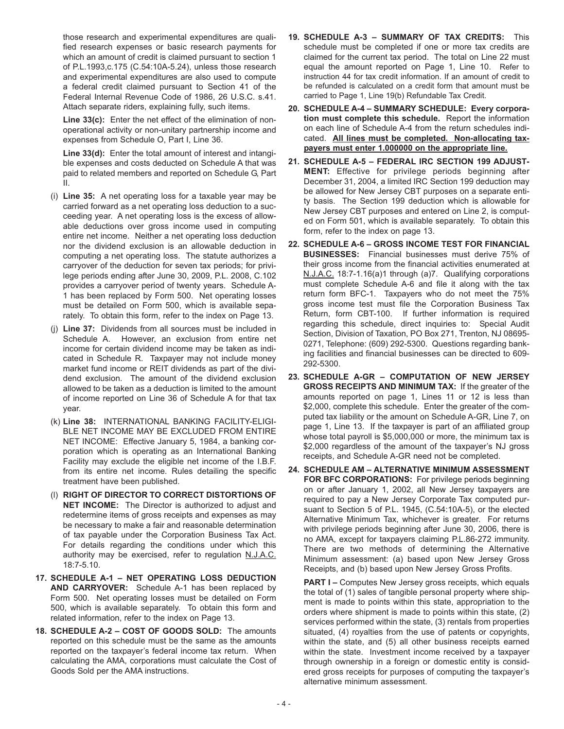those research and experimental expenditures are qualified research expenses or basic research payments for which an amount of credit is claimed pursuant to section 1 of P.L.1993,c.175 (C.54:10A-5.24), unless those research and experimental expenditures are also used to compute a federal credit claimed pursuant to Section 41 of the Federal Internal Revenue Code of 1986, 26 U.S.C. s.41. Attach separate riders, explaining fully, such items.

**Line 33(c):** Enter the net effect of the elimination of nonoperational activity or non-unitary partnership income and expenses from Schedule O, Part I, Line 36.

**Line 33(d):** Enter the total amount of interest and intangible expenses and costs deducted on Schedule A that was paid to related members and reported on Schedule G, Part II.

- (i) **Line 35:** A net operating loss for a taxable year may be carried forward as a net operating loss deduction to a succeeding year. A net operating loss is the excess of allowable deductions over gross income used in computing entire net income. Neither a net operating loss deduction nor the dividend exclusion is an allowable deduction in computing a net operating loss. The statute authorizes a carryover of the deduction for seven tax periods; for privilege periods ending after June 30, 2009, P.L. 2008, C.102 provides a carryover period of twenty years. Schedule A-1 has been replaced by Form 500. Net operating losses must be detailed on Form 500, which is available separately. To obtain this form, refer to the index on Page 13.
- (j) **Line 37:** Dividends from all sources must be included in Schedule A. However, an exclusion from entire net income for certain dividend income may be taken as indicated in Schedule R. Taxpayer may not include money market fund income or REIT dividends as part of the dividend exclusion. The amount of the dividend exclusion allowed to be taken as a deduction is limited to the amount of income reported on Line 36 of Schedule A for that tax year.
- (k) **Line 38:** INTERNATIONAL BANKING FACILITY-ELIGI-BLE NET INCOME MAY BE EXCLUDED FROM ENTIRE NET INCOME: Effective January 5, 1984, a banking corporation which is operating as an International Banking Facility may exclude the eligible net income of the I.B.F. from its entire net income. Rules detailing the specific treatment have been published.
- (l) **RIGHT OF DIRECTOR TO CORRECT DISTORTIONS OF NET INCOME:** The Director is authorized to adjust and redetermine items of gross receipts and expenses as may be necessary to make a fair and reasonable determination of tax payable under the Corporation Business Tax Act. For details regarding the conditions under which this authority may be exercised, refer to regulation N.J.A.C. 18:7-5.10.
- **17. SCHEDULE A-1 NET OPERATING LOSS DEDUCTION AND CARRYOVER:** Schedule A-1 has been replaced by Form 500. Net operating losses must be detailed on Form 500, which is available separately. To obtain this form and related information, refer to the index on Page 13.
- **18. SCHEDULE A-2 COST OF GOODS SOLD:** The amounts reported on this schedule must be the same as the amounts reported on the taxpayer's federal income tax return. When calculating the AMA, corporations must calculate the Cost of Goods Sold per the AMA instructions.
- **19. SCHEDULE A-3 SUMMARY OF TAX CREDITS:** This schedule must be completed if one or more tax credits are claimed for the current tax period. The total on Line 22 must equal the amount reported on Page 1, Line 10. Refer to instruction 44 for tax credit information. If an amount of credit to be refunded is calculated on a credit form that amount must be carried to Page 1, Line 19(b) Refundable Tax Credit.
- **20. SCHEDULE A-4 SUMMARY SCHEDULE: Every corporation must complete this schedule.** Report the information on each line of Schedule A-4 from the return schedules indicated. **All lines must be completed. Non-allocating taxpayers must enter 1.000000 on the appropriate line.**
- **21. SCHEDULE A-5 FEDERAL IRC SECTION 199 ADJUST-MENT:** Effective for privilege periods beginning after December 31, 2004, a limited IRC Section 199 deduction may be allowed for New Jersey CBT purposes on a separate entity basis. The Section 199 deduction which is allowable for New Jersey CBT purposes and entered on Line 2, is computed on Form 501, which is available separately. To obtain this form, refer to the index on page 13.
- **22. SCHEDULE A-6 GROSS INCOME TEST FOR FINANCIAL BUSINESSES:** Financial businesses must derive 75% of their gross income from the financial activities enumerated at N.J.A.C. 18:7-1.16(a)1 through (a)7. Qualifying corporations must complete Schedule A-6 and file it along with the tax return form BFC-1. Taxpayers who do not meet the 75% gross income test must file the Corporation Business Tax Return, form CBT-100. If further information is required regarding this schedule, direct inquiries to: Special Audit Section, Division of Taxation, PO Box 271, Trenton, NJ 08695-0271, Telephone: (609) 292-5300. Questions regarding banking facilities and financial businesses can be directed to 609- 292-5300.
- **23. SCHEDULE A-GR COMPUTATION OF NEW JERSEY GROSS RECEIPTS AND MINIMUM TAX:** If the greater of the amounts reported on page 1, Lines 11 or 12 is less than \$2,000, complete this schedule. Enter the greater of the computed tax liability or the amount on Schedule A-GR, Line 7, on page 1, Line 13. If the taxpayer is part of an affiliated group whose total payroll is \$5,000,000 or more, the minimum tax is \$2,000 regardless of the amount of the taxpayer's NJ gross receipts, and Schedule A-GR need not be completed.
- **24. SCHEDULE AM ALTERNATIVE MINIMUM ASSESSMENT FOR BFC CORPORATIONS:** For privilege periods beginning on or after January 1, 2002, all New Jersey taxpayers are required to pay a New Jersey Corporate Tax computed pursuant to Section 5 of P.L. 1945, (C.54:10A-5), or the elected Alternative Minimum Tax, whichever is greater. For returns with privilege periods beginning after June 30, 2006, there is no AMA, except for taxpayers claiming P.L.86-272 immunity. There are two methods of determining the Alternative Minimum assessment: (a) based upon New Jersey Gross Receipts, and (b) based upon New Jersey Gross Profits.

**PART I** – Computes New Jersey gross receipts, which equals the total of (1) sales of tangible personal property where shipment is made to points within this state, appropriation to the orders where shipment is made to points within this state, (2) services performed within the state, (3) rentals from properties situated, (4) royalties from the use of patents or copyrights, within the state, and (5) all other business receipts earned within the state. Investment income received by a taxpayer through ownership in a foreign or domestic entity is considered gross receipts for purposes of computing the taxpayer's alternative minimum assessment.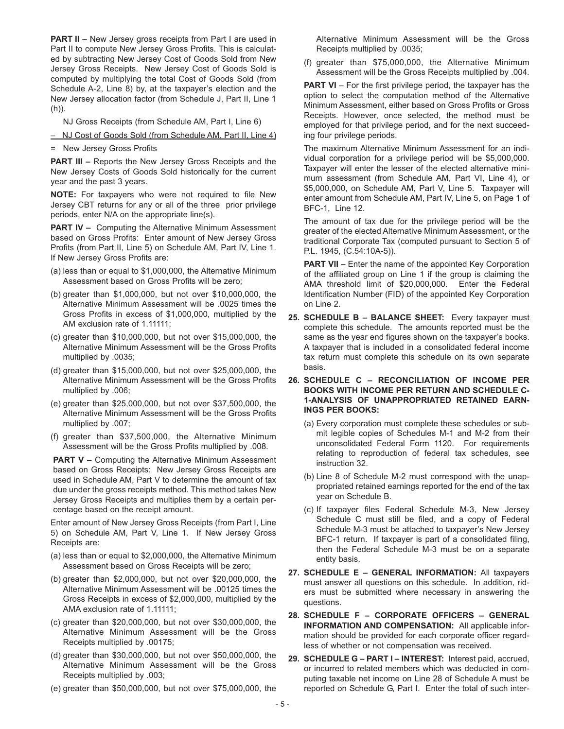**PART II** – New Jersey gross receipts from Part I are used in Part II to compute New Jersey Gross Profits. This is calculated by subtracting New Jersey Cost of Goods Sold from New Jersey Gross Receipts. New Jersey Cost of Goods Sold is computed by multiplying the total Cost of Goods Sold (from Schedule A-2, Line 8) by, at the taxpayer's election and the New Jersey allocation factor (from Schedule J, Part II, Line 1 (h)).

NJ Gross Receipts (from Schedule AM, Part I, Line 6)

– NJ Cost of Goods Sold (from Schedule AM, Part II, Line 4)

= New Jersey Gross Profits

**PART III –** Reports the New Jersey Gross Receipts and the New Jersey Costs of Goods Sold historically for the current year and the past 3 years.

**NOTE:** For taxpayers who were not required to file New Jersey CBT returns for any or all of the three prior privilege periods, enter N/A on the appropriate line(s).

**PART IV –** Computing the Alternative Minimum Assessment based on Gross Profits: Enter amount of New Jersey Gross Profits (from Part II, Line 5) on Schedule AM, Part IV, Line 1. If New Jersey Gross Profits are:

- (a) less than or equal to \$1,000,000, the Alternative Minimum Assessment based on Gross Profits will be zero;
- (b) greater than \$1,000,000, but not over \$10,000,000, the Alternative Minimum Assessment will be .0025 times the Gross Profits in excess of \$1,000,000, multiplied by the AM exclusion rate of 1.11111;
- (c) greater than \$10,000,000, but not over \$15,000,000, the Alternative Minimum Assessment will be the Gross Profits multiplied by .0035;
- (d) greater than \$15,000,000, but not over \$25,000,000, the Alternative Minimum Assessment will be the Gross Profits multiplied by .006;
- (e) greater than \$25,000,000, but not over \$37,500,000, the Alternative Minimum Assessment will be the Gross Profits multiplied by .007;
- (f) greater than \$37,500,000, the Alternative Minimum Assessment will be the Gross Profits multiplied by .008.

**PART V** – Computing the Alternative Minimum Assessment based on Gross Receipts: New Jersey Gross Receipts are used in Schedule AM, Part V to determine the amount of tax due under the gross receipts method. This method takes New Jersey Gross Receipts and multiplies them by a certain percentage based on the receipt amount.

Enter amount of New Jersey Gross Receipts (from Part I, Line 5) on Schedule AM, Part V, Line 1. If New Jersey Gross Receipts are:

- (a) less than or equal to \$2,000,000, the Alternative Minimum Assessment based on Gross Receipts will be zero;
- (b) greater than \$2,000,000, but not over \$20,000,000, the Alternative Minimum Assessment will be .00125 times the Gross Receipts in excess of \$2,000,000, multiplied by the AMA exclusion rate of 1.11111;
- (c) greater than \$20,000,000, but not over \$30,000,000, the Alternative Minimum Assessment will be the Gross Receipts multiplied by .00175;
- (d) greater than \$30,000,000, but not over \$50,000,000, the Alternative Minimum Assessment will be the Gross Receipts multiplied by .003;
- (e) greater than \$50,000,000, but not over \$75,000,000, the

Alternative Minimum Assessment will be the Gross Receipts multiplied by .0035;

(f) greater than \$75,000,000, the Alternative Minimum Assessment will be the Gross Receipts multiplied by .004.

**PART VI** – For the first privilege period, the taxpayer has the option to select the computation method of the Alternative Minimum Assessment, either based on Gross Profits or Gross Receipts. However, once selected, the method must be employed for that privilege period, and for the next succeeding four privilege periods.

The maximum Alternative Minimum Assessment for an individual corporation for a privilege period will be \$5,000,000. Taxpayer will enter the lesser of the elected alternative minimum assessment (from Schedule AM, Part VI, Line 4), or \$5,000,000, on Schedule AM, Part V, Line 5. Taxpayer will enter amount from Schedule AM, Part IV, Line 5, on Page 1 of BFC-1, Line 12.

The amount of tax due for the privilege period will be the greater of the elected Alternative Minimum Assessment, or the traditional Corporate Tax (computed pursuant to Section 5 of P.L. 1945, (C.54:10A-5)).

**PART VII** – Enter the name of the appointed Key Corporation of the affiliated group on Line 1 if the group is claiming the AMA threshold limit of \$20,000,000. Enter the Federal Identification Number (FID) of the appointed Key Corporation on Line 2.

- **25. SCHEDULE B BALANCE SHEET:** Every taxpayer must complete this schedule. The amounts reported must be the same as the year end figures shown on the taxpayer's books. A taxpayer that is included in a consolidated federal income tax return must complete this schedule on its own separate basis.
- **26. SCHEDULE C RECONCILIATION OF INCOME PER BOOKS WITH INCOME PER RETURN AND SCHEDULE C-1-ANALYSIS OF UNAPPROPRIATED RETAINED EARN-INGS PER BOOKS:**
	- (a) Every corporation must complete these schedules or submit legible copies of Schedules M-1 and M-2 from their unconsolidated Federal Form 1120. For requirements relating to reproduction of federal tax schedules, see instruction 32.
	- (b) Line 8 of Schedule M-2 must correspond with the unappropriated retained earnings reported for the end of the tax year on Schedule B.
	- (c) If taxpayer files Federal Schedule M-3, New Jersey Schedule C must still be filed, and a copy of Federal Schedule M-3 must be attached to taxpayer's New Jersey BFC-1 return. If taxpayer is part of a consolidated filing, then the Federal Schedule M-3 must be on a separate entity basis.
- **27. SCHEDULE E GENERAL INFORMATION:** All taxpayers must answer all questions on this schedule. In addition, riders must be submitted where necessary in answering the questions.
- **28. SCHEDULE F CORPORATE OFFICERS GENERAL INFORMATION AND COMPENSATION:** All applicable information should be provided for each corporate officer regardless of whether or not compensation was received.
- **29. SCHEDULE G PART I INTEREST:** Interest paid, accrued, or incurred to related members which was deducted in computing taxable net income on Line 28 of Schedule A must be reported on Schedule G, Part I. Enter the total of such inter-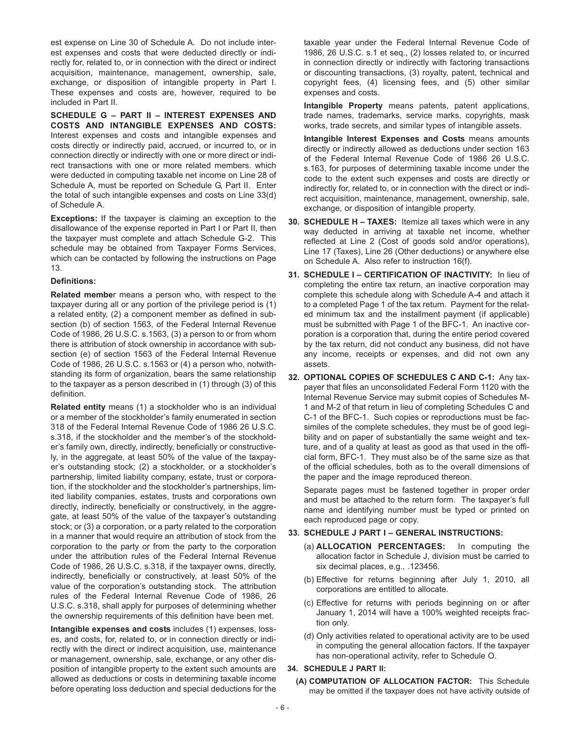est expense on Line 30 of Schedule A. Do not include interest expenses and costs that were deducted directly or indirectly for, related to, or in connection with the direct or indirect acquisition, maintenance, management, ownership, sale, exchange, or disposition of intangible property in Part I. These expenses and costs are, however, required to be included in Part II.

**SCHEDULE G – PART II – INTEREST EXPENSES AND COSTS AND INTANGIBLE EXPENSES AND COSTS:** Interest expenses and costs and intangible expenses and costs directly or indirectly paid, accrued, or incurred to, or in connection directly or indirectly with one or more direct or indirect transactions with one or more related members. which were deducted in computing taxable net income on Line 28 of Schedule A, must be reported on Schedule G, Part II. Enter the total of such intangible expenses and costs on Line 33(d) of Schedule A.

**Exceptions:** If the taxpayer is claiming an exception to the disallowance of the expense reported in Part I or Part II, then the taxpayer must complete and attach Schedule G-2. This schedule may be obtained from Taxpayer Forms Services, which can be contacted by following the instructions on Page 13.

#### **Definitions:**

**Related membe**r means a person who, with respect to the taxpayer during all or any portion of the privilege period is (1) a related entity, (2) a component member as defined in subsection (b) of section 1563, of the Federal Internal Revenue Code of 1986, 26 U.S.C. s.1563, (3) a person to or from whom there is attribution of stock ownership in accordance with subsection (e) of section 1563 of the Federal Internal Revenue Code of 1986, 26 U.S.C. s.1563 or (4) a person who, notwithstanding its form of organization, bears the same relationship to the taxpayer as a person described in (1) through (3) of this definition.

**Related entity** means (1) a stockholder who is an individual or a member of the stockholder's family enumerated in section 318 of the Federal Internal Revenue Code of 1986 26 U.S.C. s.318, if the stockholder and the member's of the stockholder's family own, directly, indirectly, beneficially or constructively, in the aggregate, at least 50% of the value of the taxpayer's outstanding stock; (2) a stockholder, or a stockholder's partnership, limited liability company, estate, trust or corporation, if the stockholder and the stockholder's partnerships, limited liability companies, estates, trusts and corporations own directly, indirectly, beneficially or constructively, in the aggregate, at least 50% of the value of the taxpayer's outstanding stock; or (3) a corporation, or a party related to the corporation in a manner that would require an attribution of stock from the corporation to the party or from the party to the corporation under the attribution rules of the Federal Internal Revenue Code of 1986, 26 U.S.C. s.318, if the taxpayer owns, directly, indirectly, beneficially or constructively, at least 50% of the value of the corporation's outstanding stock. The attribution rules of the Federal Internal Revenue Code of 1986, 26 U.S.C. s.318, shall apply for purposes of determining whether the ownership requirements of this definition have been met.

**Intangible expenses and costs** includes (1) expenses, losses, and costs, for, related to, or in connection directly or indirectly with the direct or indirect acquisition, use, maintenance or management, ownership, sale, exchange, or any other disposition of intangible property to the extent such amounts are allowed as deductions or costs in determining taxable income before operating loss deduction and special deductions for the

taxable year under the Federal Internal Revenue Code of 1986, 26 U.S.C. s.1 et seq., (2) losses related to, or incurred in connection directly or indirectly with factoring transactions or discounting transactions, (3) royalty, patent, technical and copyright fees, (4) licensing fees, and (5) other similar expenses and costs.

**Intangible Property** means patents, patent applications, trade names, trademarks, service marks, copyrights, mask works, trade secrets, and similar types of intangible assets.

**Intangible Interest Expenses and Costs** means amounts directly or indirectly allowed as deductions under section 163 of the Federal Internal Revenue Code of 1986 26 U.S.C. s.163, for purposes of determining taxable income under the code to the extent such expenses and costs are directly or indirectly for, related to, or in connection with the direct or indirect acquisition, maintenance, management, ownership, sale, exchange, or disposition of intangible property.

- **30. SCHEDULE H TAXES:** Itemize all taxes which were in any way deducted in arriving at taxable net income, whether reflected at Line 2 (Cost of goods sold and/or operations), Line 17 (Taxes), Line 26 (Other deductions) or anywhere else on Schedule A. Also refer to instruction 16(f).
- **31. SCHEDULE I CERTIFICATION OF INACTIVITY:** In lieu of completing the entire tax return, an inactive corporation may complete this schedule along with Schedule A-4 and attach it to a completed Page 1 of the tax return. Payment for the related minimum tax and the installment payment (if applicable) must be submitted with Page 1 of the BFC-1. An inactive corporation is a corporation that, during the entire period covered by the tax return, did not conduct any business, did not have any income, receipts or expenses, and did not own any assets.
- **32. OPTIONAL COPIES OF SCHEDULES C AND C-1:** Any taxpayer that files an unconsolidated Federal Form 1120 with the Internal Revenue Service may submit copies of Schedules M-1 and M-2 of that return in lieu of completing Schedules C and C-1 of the BFC-1. Such copies or reproductions must be facsimiles of the complete schedules, they must be of good legibility and on paper of substantially the same weight and texture, and of a quality at least as good as that used in the official form, BFC-1. They must also be of the same size as that of the official schedules, both as to the overall dimensions of the paper and the image reproduced thereon.

Separate pages must be fastened together in proper order and must be attached to the return form. The taxpayer's full name and identifying number must be typed or printed on each reproduced page or copy.

#### **33. SCHEDULE J PART I – GENERAL INSTRUCTIONS:**

- (a) **ALLOCATION PERCENTAGES:** In computing the allocation factor in Schedule J, division must be carried to six decimal places, e.g., .123456.
- (b) Effective for returns beginning after July 1, 2010, all corporations are entitled to allocate.
- (c) Effective for returns with periods beginning on or after January 1, 2014 will have a 100% weighted receipts fraction only.
- (d) Only activities related to operational activity are to be used in computing the general allocation factors. If the taxpayer has non-operational activity, refer to Schedule O.

#### **34. SCHEDULE J PART II:**

**(A) COMPUTATION OF ALLOCATION FACTOR:** This Schedule may be omitted if the taxpayer does not have activity outside of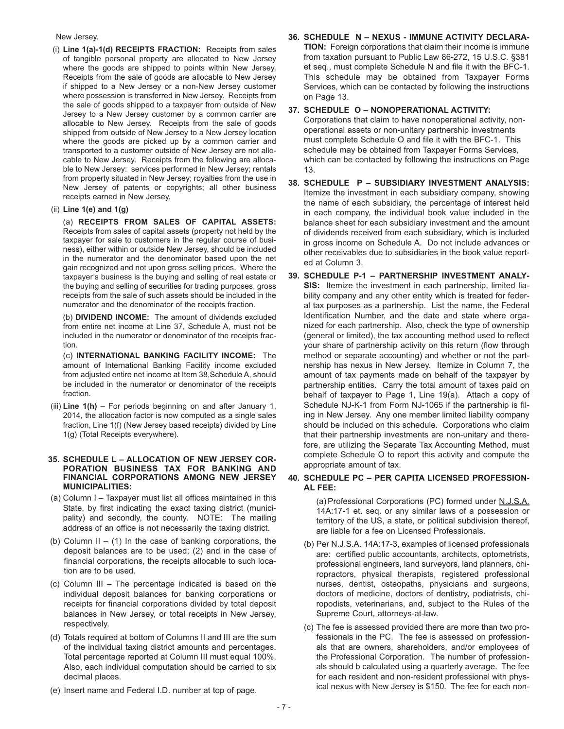New Jersey.

(i) **Line 1(a)-1(d) RECEIPTS FRACTION:** Receipts from sales of tangible personal property are allocated to New Jersey where the goods are shipped to points within New Jersey. Receipts from the sale of goods are allocable to New Jersey if shipped to a New Jersey or a non-New Jersey customer where possession is transferred in New Jersey. Receipts from the sale of goods shipped to a taxpayer from outside of New Jersey to a New Jersey customer by a common carrier are allocable to New Jersey. Receipts from the sale of goods shipped from outside of New Jersey to a New Jersey location where the goods are picked up by a common carrier and transported to a customer outside of New Jersey are not allocable to New Jersey. Receipts from the following are allocable to New Jersey: services performed in New Jersey; rentals from property situated in New Jersey; royalties from the use in New Jersey of patents or copyrights; all other business receipts earned in New Jersey.

#### (ii) **Line 1(e) and 1(g)**

(a) **RECEIPTS FROM SALES OF CAPITAL ASSETS:** Receipts from sales of capital assets (property not held by the taxpayer for sale to customers in the regular course of business), either within or outside New Jersey, should be included in the numerator and the denominator based upon the net gain recognized and not upon gross selling prices. Where the taxpayer's business is the buying and selling of real estate or the buying and selling of securities for trading purposes, gross receipts from the sale of such assets should be included in the numerator and the denominator of the receipts fraction.

(b) **DIVIDEND INCOME:** The amount of dividends excluded from entire net income at Line 37, Schedule A, must not be included in the numerator or denominator of the receipts fraction.

(c) **INTERNATIONAL BANKING FACILITY INCOME:** The amount of International Banking Facility income excluded from adjusted entire net income at Item 38,Schedule A, should be included in the numerator or denominator of the receipts fraction.

(iii) **Line 1(h)** – For periods beginning on and after January 1, 2014, the allocation factor is now computed as a single sales fraction, Line 1(f) (New Jersey based receipts) divided by Line 1(g) (Total Receipts everywhere).

#### **35. SCHEDULE L – ALLOCATION OF NEW JERSEY COR-PORATION BUSINESS TAX FOR BANKING AND FINANCIAL CORPORATIONS AMONG NEW JERSEY MUNICIPALITIES:**

- (a) Column I Taxpayer must list all offices maintained in this State, by first indicating the exact taxing district (municipality) and secondly, the county. NOTE: The mailing address of an office is not necessarily the taxing district.
- (b) Column  $II (1)$  In the case of banking corporations, the deposit balances are to be used; (2) and in the case of financial corporations, the receipts allocable to such location are to be used.
- (c) Column III The percentage indicated is based on the individual deposit balances for banking corporations or receipts for financial corporations divided by total deposit balances in New Jersey, or total receipts in New Jersey, respectively.
- (d) Totals required at bottom of Columns II and III are the sum of the individual taxing district amounts and percentages. Total percentage reported at Column III must equal 100%. Also, each individual computation should be carried to six decimal places.

**36. SCHEDULE N – NEXUS - IMMUNE ACTIVITY DECLARA-TION:** Foreign corporations that claim their income is immune from taxation pursuant to Public Law 86-272, 15 U.S.C. §381 et seq., must complete Schedule N and file it with the BFC-1. This schedule may be obtained from Taxpayer Forms Services, which can be contacted by following the instructions on Page 13.

#### **37. SCHEDULE O – NONOPERATIONAL ACTIVITY:**

Corporations that claim to have nonoperational activity, nonoperational assets or non-unitary partnership investments must complete Schedule O and file it with the BFC-1. This schedule may be obtained from Taxpayer Forms Services, which can be contacted by following the instructions on Page 13.

- **38. SCHEDULE P SUBSIDIARY INVESTMENT ANALYSIS:** Itemize the investment in each subsidiary company, showing the name of each subsidiary, the percentage of interest held in each company, the individual book value included in the balance sheet for each subsidiary investment and the amount of dividends received from each subsidiary, which is included in gross income on Schedule A. Do not include advances or other receivables due to subsidiaries in the book value reported at Column 3.
- **39. SCHEDULE P-1 PARTNERSHIP INVESTMENT ANALY-SIS:** Itemize the investment in each partnership, limited liability company and any other entity which is treated for federal tax purposes as a partnership. List the name, the Federal Identification Number, and the date and state where organized for each partnership. Also, check the type of ownership (general or limited), the tax accounting method used to reflect your share of partnership activity on this return (flow through method or separate accounting) and whether or not the partnership has nexus in New Jersey. Itemize in Column 7, the amount of tax payments made on behalf of the taxpayer by partnership entities. Carry the total amount of taxes paid on behalf of taxpayer to Page 1, Line 19(a). Attach a copy of Schedule NJ-K-1 from Form NJ-1065 if the partnership is filing in New Jersey. Any one member limited liability company should be included on this schedule. Corporations who claim that their partnership investments are non-unitary and therefore, are utilizing the Separate Tax Accounting Method, must complete Schedule O to report this activity and compute the appropriate amount of tax.

#### **40. SCHEDULE PC – PER CAPITA LICENSED PROFESSION-AL FEE:**

(a) Professional Corporations (PC) formed under N.J.S.A. 14A:17-1 et. seq. or any similar laws of a possession or territory of the US, a state, or political subdivision thereof, are liable for a fee on Licensed Professionals.

- (b) Per N.J.S.A. 14A:17-3, examples of licensed professionals are: certified public accountants, architects, optometrists, professional engineers, land surveyors, land planners, chiropractors, physical therapists, registered professional nurses, dentist, osteopaths, physicians and surgeons, doctors of medicine, doctors of dentistry, podiatrists, chiropodists, veterinarians, and, subject to the Rules of the Supreme Court, attorneys-at-law.
- (c) The fee is assessed provided there are more than two professionals in the PC. The fee is assessed on professionals that are owners, shareholders, and/or employees of the Professional Corporation. The number of professionals should b calculated using a quarterly average. The fee for each resident and non-resident professional with physical nexus with New Jersey is \$150. The fee for each non-
- (e) Insert name and Federal I.D. number at top of page.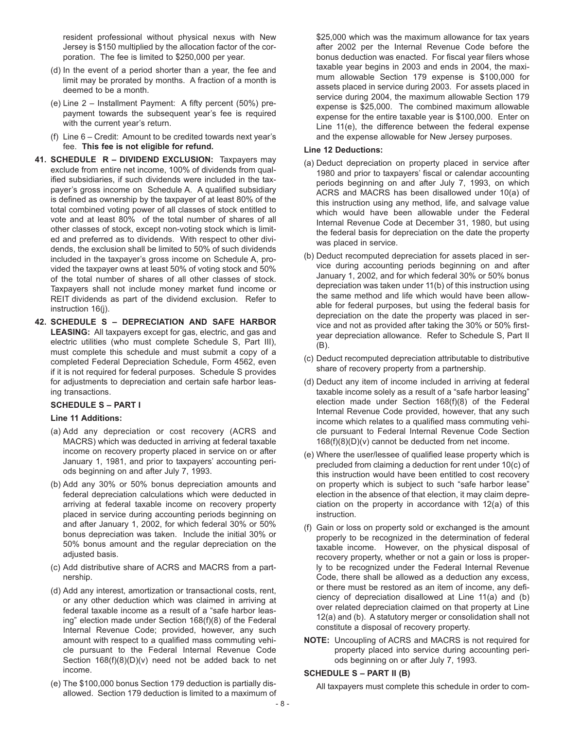resident professional without physical nexus with New Jersey is \$150 multiplied by the allocation factor of the corporation. The fee is limited to \$250,000 per year.

- (d) In the event of a period shorter than a year, the fee and limit may be prorated by months. A fraction of a month is deemed to be a month.
- (e) Line 2 Installment Payment: A fifty percent (50%) prepayment towards the subsequent year's fee is required with the current year's return.
- (f) Line 6 Credit: Amount to be credited towards next year's fee. **This fee is not eligible for refund.**
- **41. SCHEDULE R DIVIDEND EXCLUSION:** Taxpayers may exclude from entire net income, 100% of dividends from qualified subsidiaries, if such dividends were included in the taxpayer's gross income on Schedule A. A qualified subsidiary is defined as ownership by the taxpayer of at least 80% of the total combined voting power of all classes of stock entitled to vote and at least 80% of the total number of shares of all other classes of stock, except non-voting stock which is limited and preferred as to dividends. With respect to other dividends, the exclusion shall be limited to 50% of such dividends included in the taxpayer's gross income on Schedule A, provided the taxpayer owns at least 50% of voting stock and 50% of the total number of shares of all other classes of stock. Taxpayers shall not include money market fund income or REIT dividends as part of the dividend exclusion. Refer to instruction 16(j).
- **42. SCHEDULE S DEPRECIATION AND SAFE HARBOR LEASING:** All taxpayers except for gas, electric, and gas and electric utilities (who must complete Schedule S, Part III), must complete this schedule and must submit a copy of a completed Federal Depreciation Schedule, Form 4562, even if it is not required for federal purposes. Schedule S provides for adjustments to depreciation and certain safe harbor leasing transactions.

#### **SCHEDULE S – PART I**

#### **Line 11 Additions:**

- (a) Add any depreciation or cost recovery (ACRS and MACRS) which was deducted in arriving at federal taxable income on recovery property placed in service on or after January 1, 1981, and prior to taxpayers' accounting periods beginning on and after July 7, 1993.
- (b) Add any 30% or 50% bonus depreciation amounts and federal depreciation calculations which were deducted in arriving at federal taxable income on recovery property placed in service during accounting periods beginning on and after January 1, 2002, for which federal 30% or 50% bonus depreciation was taken. Include the initial 30% or 50% bonus amount and the regular depreciation on the adjusted basis.
- (c) Add distributive share of ACRS and MACRS from a partnership.
- (d) Add any interest, amortization or transactional costs, rent, or any other deduction which was claimed in arriving at federal taxable income as a result of a "safe harbor leasing" election made under Section 168(f)(8) of the Federal Internal Revenue Code; provided, however, any such amount with respect to a qualified mass commuting vehicle pursuant to the Federal Internal Revenue Code Section  $168(f)(8)(D)(v)$  need not be added back to net income.
- (e) The \$100,000 bonus Section 179 deduction is partially disallowed. Section 179 deduction is limited to a maximum of

\$25,000 which was the maximum allowance for tax years after 2002 per the Internal Revenue Code before the bonus deduction was enacted. For fiscal year filers whose taxable year begins in 2003 and ends in 2004, the maximum allowable Section 179 expense is \$100,000 for assets placed in service during 2003. For assets placed in service during 2004, the maximum allowable Section 179 expense is \$25,000. The combined maximum allowable expense for the entire taxable year is \$100,000. Enter on Line 11(e), the difference between the federal expense and the expense allowable for New Jersey purposes.

#### **Line 12 Deductions:**

- (a) Deduct depreciation on property placed in service after 1980 and prior to taxpayers' fiscal or calendar accounting periods beginning on and after July 7, 1993, on which ACRS and MACRS has been disallowed under 10(a) of this instruction using any method, life, and salvage value which would have been allowable under the Federal Internal Revenue Code at December 31, 1980, but using the federal basis for depreciation on the date the property was placed in service.
- (b) Deduct recomputed depreciation for assets placed in service during accounting periods beginning on and after January 1, 2002, and for which federal 30% or 50% bonus depreciation was taken under 11(b) of this instruction using the same method and life which would have been allowable for federal purposes, but using the federal basis for depreciation on the date the property was placed in service and not as provided after taking the 30% or 50% firstyear depreciation allowance. Refer to Schedule S, Part II (B).
- (c) Deduct recomputed depreciation attributable to distributive share of recovery property from a partnership.
- (d) Deduct any item of income included in arriving at federal taxable income solely as a result of a "safe harbor leasing" election made under Section 168(f)(8) of the Federal Internal Revenue Code provided, however, that any such income which relates to a qualified mass commuting vehicle pursuant to Federal Internal Revenue Code Section 168(f)(8)(D)(v) cannot be deducted from net income.
- (e) Where the user/lessee of qualified lease property which is precluded from claiming a deduction for rent under 10(c) of this instruction would have been entitled to cost recovery on property which is subject to such "safe harbor lease" election in the absence of that election, it may claim depreciation on the property in accordance with 12(a) of this instruction.
- (f) Gain or loss on property sold or exchanged is the amount properly to be recognized in the determination of federal taxable income. However, on the physical disposal of recovery property, whether or not a gain or loss is properly to be recognized under the Federal Internal Revenue Code, there shall be allowed as a deduction any excess, or there must be restored as an item of income, any deficiency of depreciation disallowed at Line 11(a) and (b) over related depreciation claimed on that property at Line 12(a) and (b). A statutory merger or consolidation shall not constitute a disposal of recovery property.
- **NOTE:** Uncoupling of ACRS and MACRS is not required for property placed into service during accounting periods beginning on or after July 7, 1993.

#### **SCHEDULE S – PART II (B)**

All taxpayers must complete this schedule in order to com-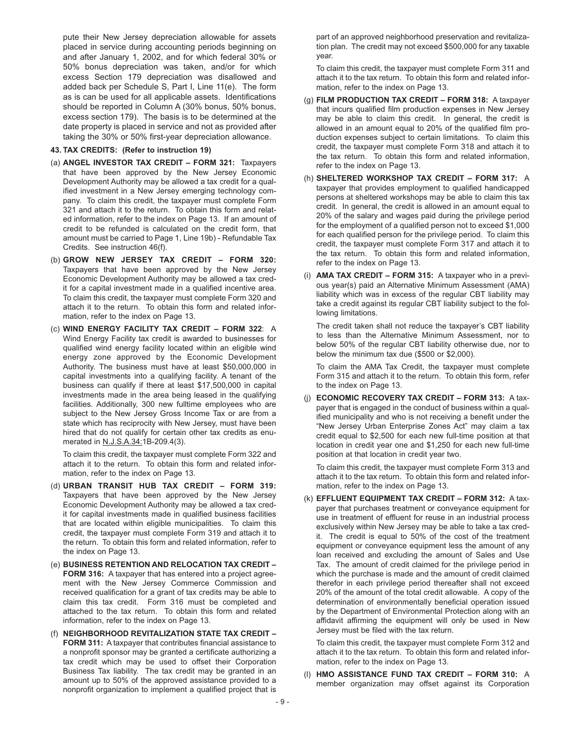pute their New Jersey depreciation allowable for assets placed in service during accounting periods beginning on and after January 1, 2002, and for which federal 30% or 50% bonus depreciation was taken, and/or for which excess Section 179 depreciation was disallowed and added back per Schedule S, Part I, Line 11(e). The form as is can be used for all applicable assets. Identifications should be reported in Column A (30% bonus, 50% bonus, excess section 179). The basis is to be determined at the date property is placed in service and not as provided after taking the 30% or 50% first-year depreciation allowance.

#### **43. TAX CREDITS: (Refer to instruction 19)**

- (a) **ANGEL INVESTOR TAX CREDIT FORM 321:** Taxpayers that have been approved by the New Jersey Economic Development Authority may be allowed a tax credit for a qualified investment in a New Jersey emerging technology company. To claim this credit, the taxpayer must complete Form 321 and attach it to the return. To obtain this form and related information, refer to the index on Page 13. If an amount of credit to be refunded is calculated on the credit form, that amount must be carried to Page 1, Line 19b) - Refundable Tax Credits. See instruction 46(f).
- (b) **GROW NEW JERSEY TAX CREDIT FORM 320:** Taxpayers that have been approved by the New Jersey Economic Development Authority may be allowed a tax credit for a capital investment made in a qualified incentive area. To claim this credit, the taxpayer must complete Form 320 and attach it to the return. To obtain this form and related information, refer to the index on Page 13.
- (c) **WIND ENERGY FACILITY TAX CREDIT FORM 322**: A Wind Energy Facility tax credit is awarded to businesses for qualified wind energy facility located within an eligible wind energy zone approved by the Economic Development Authority. The business must have at least \$50,000,000 in capital investments into a qualifying facility. A tenant of the business can qualify if there at least \$17,500,000 in capital investments made in the area being leased in the qualifying facilities. Additionally, 300 new fulltime employees who are subject to the New Jersey Gross Income Tax or are from a state which has reciprocity with New Jersey, must have been hired that do not qualify for certain other tax credits as enumerated in N.J.S.A.34:1B-209.4(3).

To claim this credit, the taxpayer must complete Form 322 and attach it to the return. To obtain this form and related information, refer to the index on Page 13.

- (d) **URBAN TRANSIT HUB TAX CREDIT FORM 319:** Taxpayers that have been approved by the New Jersey Economic Development Authority may be allowed a tax credit for capital investments made in qualified business facilities that are located within eligible municipalities. To claim this credit, the taxpayer must complete Form 319 and attach it to the return. To obtain this form and related information, refer to the index on Page 13.
- (e) **BUSINESS RETENTION AND RELOCATION TAX CREDIT – FORM 316:** A taxpayer that has entered into a project agreement with the New Jersey Commerce Commission and received qualification for a grant of tax credits may be able to claim this tax credit. Form 316 must be completed and attached to the tax return. To obtain this form and related information, refer to the index on Page 13.
- (f) **NEIGHBORHOOD REVITALIZATION STATE TAX CREDIT – FORM 311:** A taxpayer that contributes financial assistance to a nonprofit sponsor may be granted a certificate authorizing a tax credit which may be used to offset their Corporation Business Tax liability. The tax credit may be granted in an amount up to 50% of the approved assistance provided to a nonprofit organization to implement a qualified project that is

part of an approved neighborhood preservation and revitalization plan. The credit may not exceed \$500,000 for any taxable year.

To claim this credit, the taxpayer must complete Form 311 and attach it to the tax return. To obtain this form and related information, refer to the index on Page 13.

- (g) **FILM PRODUCTION TAX CREDIT FORM 318:** A taxpayer that incurs qualified film production expenses in New Jersey may be able to claim this credit. In general, the credit is allowed in an amount equal to 20% of the qualified film production expenses subject to certain limitations. To claim this credit, the taxpayer must complete Form 318 and attach it to the tax return. To obtain this form and related information, refer to the index on Page 13.
- (h) **SHELTERED WORKSHOP TAX CREDIT FORM 317:** A taxpayer that provides employment to qualified handicapped persons at sheltered workshops may be able to claim this tax credit. In general, the credit is allowed in an amount equal to 20% of the salary and wages paid during the privilege period for the employment of a qualified person not to exceed \$1,000 for each qualified person for the privilege period. To claim this credit, the taxpayer must complete Form 317 and attach it to the tax return. To obtain this form and related information, refer to the index on Page 13.
- (i) **AMA TAX CREDIT FORM 315:** A taxpayer who in a previous year(s) paid an Alternative Minimum Assessment (AMA) liability which was in excess of the regular CBT liability may take a credit against its regular CBT liability subject to the following limitations.

The credit taken shall not reduce the taxpayer's CBT liability to less than the Alternative Minimum Assessment, nor to below 50% of the regular CBT liability otherwise due, nor to below the minimum tax due (\$500 or \$2,000).

To claim the AMA Tax Credit, the taxpayer must complete Form 315 and attach it to the return. To obtain this form, refer to the index on Page 13.

(j) **ECONOMIC RECOVERY TAX CREDIT – FORM 313:** A taxpayer that is engaged in the conduct of business within a qualified municipality and who is not receiving a benefit under the "New Jersey Urban Enterprise Zones Act" may claim a tax credit equal to \$2,500 for each new full-time position at that location in credit year one and \$1,250 for each new full-time position at that location in credit year two.

To claim this credit, the taxpayer must complete Form 313 and attach it to the tax return. To obtain this form and related information, refer to the index on Page 13.

(k) **EFFLUENT EQUIPMENT TAX CREDIT – FORM 312:** A taxpayer that purchases treatment or conveyance equipment for use in treatment of effluent for reuse in an industrial process exclusively within New Jersey may be able to take a tax credit. The credit is equal to 50% of the cost of the treatment equipment or conveyance equipment less the amount of any loan received and excluding the amount of Sales and Use Tax. The amount of credit claimed for the privilege period in which the purchase is made and the amount of credit claimed therefor in each privilege period thereafter shall not exceed 20% of the amount of the total credit allowable. A copy of the determination of environmentally beneficial operation issued by the Department of Environmental Protection along with an affidavit affirming the equipment will only be used in New Jersey must be filed with the tax return.

To claim this credit, the taxpayer must complete Form 312 and attach it to the tax return. To obtain this form and related information, refer to the index on Page 13.

(l) **HMO ASSISTANCE FUND TAX CREDIT – FORM 310:** A member organization may offset against its Corporation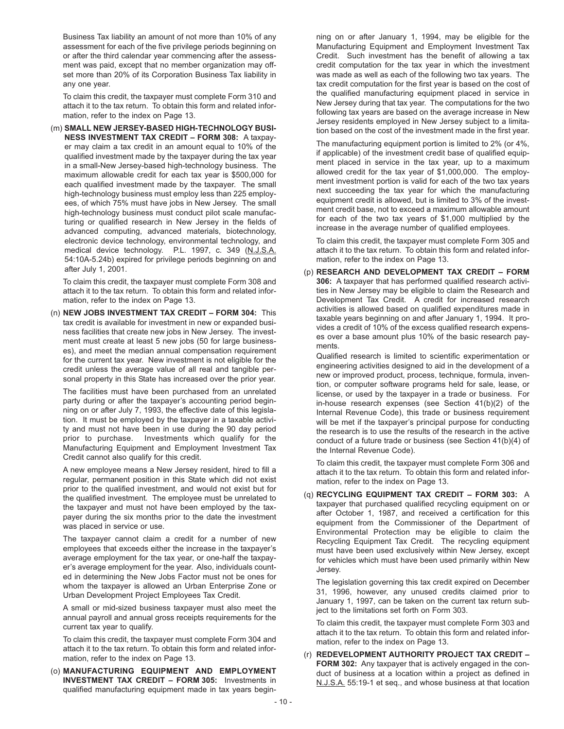Business Tax liability an amount of not more than 10% of any assessment for each of the five privilege periods beginning on or after the third calendar year commencing after the assessment was paid, except that no member organization may offset more than 20% of its Corporation Business Tax liability in any one year.

To claim this credit, the taxpayer must complete Form 310 and attach it to the tax return. To obtain this form and related information, refer to the index on Page 13.

(m) **SMALL NEW JERSEY-BASED HIGH-TECHNOLOGY BUSI-NESS INVESTMENT TAX CREDIT – FORM 308:** A taxpayer may claim a tax credit in an amount equal to 10% of the qualified investment made by the taxpayer during the tax year in a small-New Jersey-based high-technology business. The maximum allowable credit for each tax year is \$500,000 for each qualified investment made by the taxpayer. The small high-technology business must employ less than 225 employees, of which 75% must have jobs in New Jersey. The small high-technology business must conduct pilot scale manufacturing or qualified research in New Jersey in the fields of advanced computing, advanced materials, biotechnology, electronic device technology, environmental technology, and medical device technology. P.L. 1997, c. 349 (N.J.S.A. 54:10A-5.24b) expired for privilege periods beginning on and after July 1, 2001.

To claim this credit, the taxpayer must complete Form 308 and attach it to the tax return. To obtain this form and related information, refer to the index on Page 13.

(n) **NEW JOBS INVESTMENT TAX CREDIT – FORM 304:** This tax credit is available for investment in new or expanded business facilities that create new jobs in New Jersey. The investment must create at least 5 new jobs (50 for large businesses), and meet the median annual compensation requirement for the current tax year. New investment is not eligible for the credit unless the average value of all real and tangible personal property in this State has increased over the prior year.

The facilities must have been purchased from an unrelated party during or after the taxpayer's accounting period beginning on or after July 7, 1993, the effective date of this legislation. It must be employed by the taxpayer in a taxable activity and must not have been in use during the 90 day period prior to purchase. Investments which qualify for the Manufacturing Equipment and Employment Investment Tax Credit cannot also qualify for this credit.

A new employee means a New Jersey resident, hired to fill a regular, permanent position in this State which did not exist prior to the qualified investment, and would not exist but for the qualified investment. The employee must be unrelated to the taxpayer and must not have been employed by the taxpayer during the six months prior to the date the investment was placed in service or use.

The taxpayer cannot claim a credit for a number of new employees that exceeds either the increase in the taxpayer's average employment for the tax year, or one-half the taxpayer's average employment for the year. Also, individuals counted in determining the New Jobs Factor must not be ones for whom the taxpayer is allowed an Urban Enterprise Zone or Urban Development Project Employees Tax Credit.

A small or mid-sized business taxpayer must also meet the annual payroll and annual gross receipts requirements for the current tax year to qualify.

To claim this credit, the taxpayer must complete Form 304 and attach it to the tax return. To obtain this form and related information, refer to the index on Page 13.

(o) **MANUFACTURING EQUIPMENT AND EMPLOYMENT INVESTMENT TAX CREDIT – FORM 305:** Investments in qualified manufacturing equipment made in tax years beginning on or after January 1, 1994, may be eligible for the Manufacturing Equipment and Employment Investment Tax Credit. Such investment has the benefit of allowing a tax credit computation for the tax year in which the investment was made as well as each of the following two tax years. The tax credit computation for the first year is based on the cost of the qualified manufacturing equipment placed in service in New Jersey during that tax year. The computations for the two following tax years are based on the average increase in New Jersey residents employed in New Jersey subject to a limitation based on the cost of the investment made in the first year.

The manufacturing equipment portion is limited to 2% (or 4%, if applicable) of the investment credit base of qualified equipment placed in service in the tax year, up to a maximum allowed credit for the tax year of \$1,000,000. The employment investment portion is valid for each of the two tax years next succeeding the tax year for which the manufacturing equipment credit is allowed, but is limited to 3% of the investment credit base, not to exceed a maximum allowable amount for each of the two tax years of \$1,000 multiplied by the increase in the average number of qualified employees.

To claim this credit, the taxpayer must complete Form 305 and attach it to the tax return. To obtain this form and related information, refer to the index on Page 13.

(p) **RESEARCH AND DEVELOPMENT TAX CREDIT – FORM 306:** A taxpayer that has performed qualified research activities in New Jersey may be eligible to claim the Research and Development Tax Credit. A credit for increased research activities is allowed based on qualified expenditures made in taxable years beginning on and after January 1, 1994. It provides a credit of 10% of the excess qualified research expenses over a base amount plus 10% of the basic research payments.

Qualified research is limited to scientific experimentation or engineering activities designed to aid in the development of a new or improved product, process, technique, formula, invention, or computer software programs held for sale, lease, or license, or used by the taxpayer in a trade or business. For in-house research expenses (see Section 41(b)(2) of the Internal Revenue Code), this trade or business requirement will be met if the taxpayer's principal purpose for conducting the research is to use the results of the research in the active conduct of a future trade or business (see Section 41(b)(4) of the Internal Revenue Code).

To claim this credit, the taxpayer must complete Form 306 and attach it to the tax return. To obtain this form and related information, refer to the index on Page 13.

(q) **RECYCLING EQUIPMENT TAX CREDIT – FORM 303:** A taxpayer that purchased qualified recycling equipment on or after October 1, 1987, and received a certification for this equipment from the Commissioner of the Department of Environmental Protection may be eligible to claim the Recycling Equipment Tax Credit. The recycling equipment must have been used exclusively within New Jersey, except for vehicles which must have been used primarily within New Jersey.

The legislation governing this tax credit expired on December 31, 1996, however, any unused credits claimed prior to January 1, 1997, can be taken on the current tax return subject to the limitations set forth on Form 303.

To claim this credit, the taxpayer must complete Form 303 and attach it to the tax return. To obtain this form and related information, refer to the index on Page 13.

(r) **REDEVELOPMENT AUTHORITY PROJECT TAX CREDIT – FORM 302:** Any taxpayer that is actively engaged in the conduct of business at a location within a project as defined in N.J.S.A. 55:19-1 et seq., and whose business at that location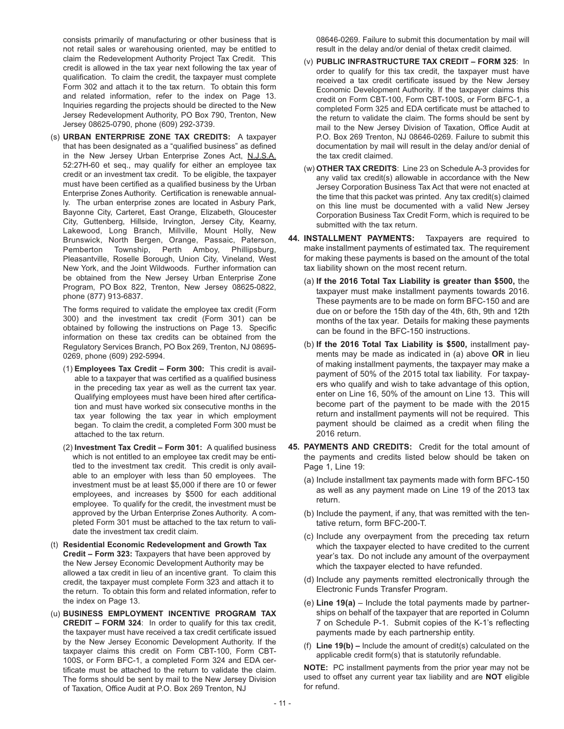consists primarily of manufacturing or other business that is not retail sales or warehousing oriented, may be entitled to claim the Redevelopment Authority Project Tax Credit. This credit is allowed in the tax year next following the tax year of qualification. To claim the credit, the taxpayer must complete Form 302 and attach it to the tax return. To obtain this form and related information, refer to the index on Page 13. Inquiries regarding the projects should be directed to the New Jersey Redevelopment Authority, PO Box 790, Trenton, New Jersey 08625-0790, phone (609) 292-3739.

(s) **URBAN ENTERPRISE ZONE TAX CREDITS:** A taxpayer that has been designated as a "qualified business" as defined in the New Jersey Urban Enterprise Zones Act, N.J.S.A. 52:27H-60 et seq., may qualify for either an employee tax credit or an investment tax credit. To be eligible, the taxpayer must have been certified as a qualified business by the Urban Enterprise Zones Authority. Certification is renewable annually. The urban enterprise zones are located in Asbury Park, Bayonne City, Carteret, East Orange, Elizabeth, Gloucester City, Guttenberg, Hillside, Irvington, Jersey City, Kearny, Lakewood, Long Branch, Millville, Mount Holly, New Brunswick, North Bergen, Orange, Passaic, Paterson, Pemberton Township, Perth Amboy, Phillipsburg, Pleasantville, Roselle Borough, Union City, Vineland, West New York, and the Joint Wildwoods. Further information can be obtained from the New Jersey Urban Enterprise Zone Program, PO Box 822, Trenton, New Jersey 08625-0822, phone (877) 913-6837.

The forms required to validate the employee tax credit (Form 300) and the investment tax credit (Form 301) can be obtained by following the instructions on Page 13. Specific information on these tax credits can be obtained from the Regulatory Services Branch, PO Box 269, Trenton, NJ 08695- 0269, phone (609) 292-5994.

- (1) **Employees Tax Credit Form 300:** This credit is available to a taxpayer that was certified as a qualified business in the preceding tax year as well as the current tax year. Qualifying employees must have been hired after certification and must have worked six consecutive months in the tax year following the tax year in which employment began. To claim the credit, a completed Form 300 must be attached to the tax return.
- (2) **Investment Tax Credit Form 301:** A qualified business which is not entitled to an employee tax credit may be entitled to the investment tax credit. This credit is only available to an employer with less than 50 employees. The investment must be at least \$5,000 if there are 10 or fewer employees, and increases by \$500 for each additional employee. To qualify for the credit, the investment must be approved by the Urban Enterprise Zones Authority. A completed Form 301 must be attached to the tax return to validate the investment tax credit claim.
- (t) **Residential Economic Redevelopment and Growth Tax Credit – Form 323:** Taxpayers that have been approved by the New Jersey Economic Development Authority may be allowed a tax credit in lieu of an incentive grant. To claim this credit, the taxpayer must complete Form 323 and attach it to the return. To obtain this form and related information, refer to the index on Page 13.
- (u) **BUSINESS EMPLOYMENT INCENTIVE PROGRAM TAX CREDIT – FORM 324**: In order to qualify for this tax credit, the taxpayer must have received a tax credit certificate issued by the New Jersey Economic Development Authority. If the taxpayer claims this credit on Form CBT-100, Form CBT-100S, or Form BFC-1, a completed Form 324 and EDA certificate must be attached to the return to validate the claim. The forms should be sent by mail to the New Jersey Division of Taxation, Office Audit at P.O. Box 269 Trenton, NJ

08646-0269. Failure to submit this documentation by mail will result in the delay and/or denial of thetax credit claimed.

- (v) **PUBLIC INFRASTRUCTURE TAX CREDIT FORM 325**: In order to qualify for this tax credit, the taxpayer must have received a tax credit certificate issued by the New Jersey Economic Development Authority. If the taxpayer claims this credit on Form CBT-100, Form CBT-100S, or Form BFC-1, a completed Form 325 and EDA certificate must be attached to the return to validate the claim. The forms should be sent by mail to the New Jersey Division of Taxation, Office Audit at P.O. Box 269 Trenton, NJ 08646-0269. Failure to submit this documentation by mail will result in the delay and/or denial of the tax credit claimed.
- (w) **OTHER TAX CREDITS**: Line 23 on Schedule A-3 provides for any valid tax credit(s) allowable in accordance with the New Jersey Corporation Business Tax Act that were not enacted at the time that this packet was printed. Any tax credit(s) claimed on this line must be documented with a valid New Jersey Corporation Business Tax Credit Form, which is required to be submitted with the tax return.
- **44. INSTALLMENT PAYMENTS:** Taxpayers are required to make installment payments of estimated tax. The requirement for making these payments is based on the amount of the total tax liability shown on the most recent return.
	- (a) **If the 2016 Total Tax Liability is greater than \$500,** the taxpayer must make installment payments towards 2016. These payments are to be made on form BFC-150 and are due on or before the 15th day of the 4th, 6th, 9th and 12th months of the tax year. Details for making these payments can be found in the BFC-150 instructions.
	- (b) **If the 2016 Total Tax Liability is \$500,** installment payments may be made as indicated in (a) above **OR** in lieu of making installment payments, the taxpayer may make a payment of 50% of the 2015 total tax liability. For taxpayers who qualify and wish to take advantage of this option, enter on Line 16, 50% of the amount on Line 13. This will become part of the payment to be made with the 2015 return and installment payments will not be required. This payment should be claimed as a credit when filing the 2016 return.
- **45. PAYMENTS AND CREDITS:** Credit for the total amount of the payments and credits listed below should be taken on Page 1, Line 19:
	- (a) Include installment tax payments made with form BFC-150 as well as any payment made on Line 19 of the 2013 tax return.
	- (b) Include the payment, if any, that was remitted with the tentative return, form BFC-200-T.
	- (c) Include any overpayment from the preceding tax return which the taxpayer elected to have credited to the current year's tax. Do not include any amount of the overpayment which the taxpayer elected to have refunded.
	- (d) Include any payments remitted electronically through the Electronic Funds Transfer Program.
	- (e) **Line 19(a)** Include the total payments made by partnerships on behalf of the taxpayer that are reported in Column 7 on Schedule P-1. Submit copies of the K-1's reflecting payments made by each partnership entity.
	- (f) **Line 19(b) –** Include the amount of credit(s) calculated on the applicable credit form(s) that is statutorily refundable.

**NOTE:** PC installment payments from the prior year may not be used to offset any current year tax liability and are **NOT** eligible for refund.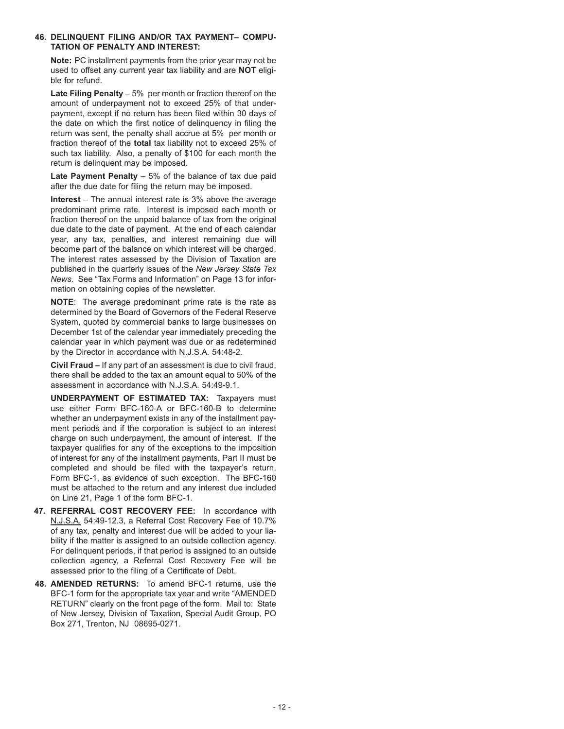#### **46. DELINQUENT FILING AND/OR TAX PAYMENT– COMPU-TATION OF PENALTY AND INTEREST:**

**Note:** PC installment payments from the prior year may not be used to offset any current year tax liability and are **NOT** eligible for refund.

**Late Filing Penalty** – 5% per month or fraction thereof on the amount of underpayment not to exceed 25% of that underpayment, except if no return has been filed within 30 days of the date on which the first notice of delinquency in filing the return was sent, the penalty shall accrue at 5% per month or fraction thereof of the **total** tax liability not to exceed 25% of such tax liability. Also, a penalty of \$100 for each month the return is delinquent may be imposed.

**Late Payment Penalty** – 5% of the balance of tax due paid after the due date for filing the return may be imposed.

**Interest** – The annual interest rate is 3% above the average predominant prime rate. Interest is imposed each month or fraction thereof on the unpaid balance of tax from the original due date to the date of payment. At the end of each calendar year, any tax, penalties, and interest remaining due will become part of the balance on which interest will be charged. The interest rates assessed by the Division of Taxation are published in the quarterly issues of the *New Jersey State Tax News*. See "Tax Forms and Information" on Page 13 for information on obtaining copies of the newsletter.

**NOTE**: The average predominant prime rate is the rate as determined by the Board of Governors of the Federal Reserve System, quoted by commercial banks to large businesses on December 1st of the calendar year immediately preceding the calendar year in which payment was due or as redetermined by the Director in accordance with N.J.S.A. 54:48-2.

**Civil Fraud –** If any part of an assessment is due to civil fraud, there shall be added to the tax an amount equal to 50% of the assessment in accordance with N.J.S.A. 54:49-9.1.

**UNDERPAYMENT OF ESTIMATED TAX:** Taxpayers must use either Form BFC-160-A or BFC-160-B to determine whether an underpayment exists in any of the installment payment periods and if the corporation is subject to an interest charge on such underpayment, the amount of interest. If the taxpayer qualifies for any of the exceptions to the imposition of interest for any of the installment payments, Part II must be completed and should be filed with the taxpayer's return, Form BFC-1, as evidence of such exception. The BFC-160 must be attached to the return and any interest due included on Line 21, Page 1 of the form BFC-1.

- **47. REFERRAL COST RECOVERY FEE:** In accordance with N.J.S.A. 54:49-12.3, a Referral Cost Recovery Fee of 10.7% of any tax, penalty and interest due will be added to your liability if the matter is assigned to an outside collection agency. For delinquent periods, if that period is assigned to an outside collection agency, a Referral Cost Recovery Fee will be assessed prior to the filing of a Certificate of Debt.
- **48. AMENDED RETURNS:** To amend BFC-1 returns, use the BFC-1 form for the appropriate tax year and write "AMENDED RETURN" clearly on the front page of the form. Mail to: State of New Jersey, Division of Taxation, Special Audit Group, PO Box 271, Trenton, NJ 08695-0271.